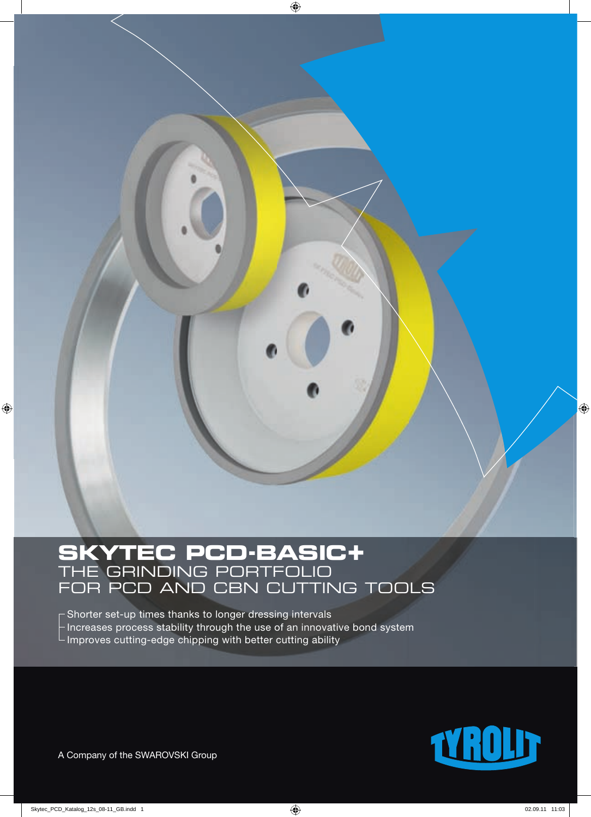

# **SKYTEC PCD-BASIC+** THE GRINDING PORTFOLIO FOR PCD AND CBN CUTTING TOOLS

 Shorter set-up times thanks to longer dressing intervals - Increases process stability through the use of an innovative bond system - Improves cutting-edge chipping with better cutting ability

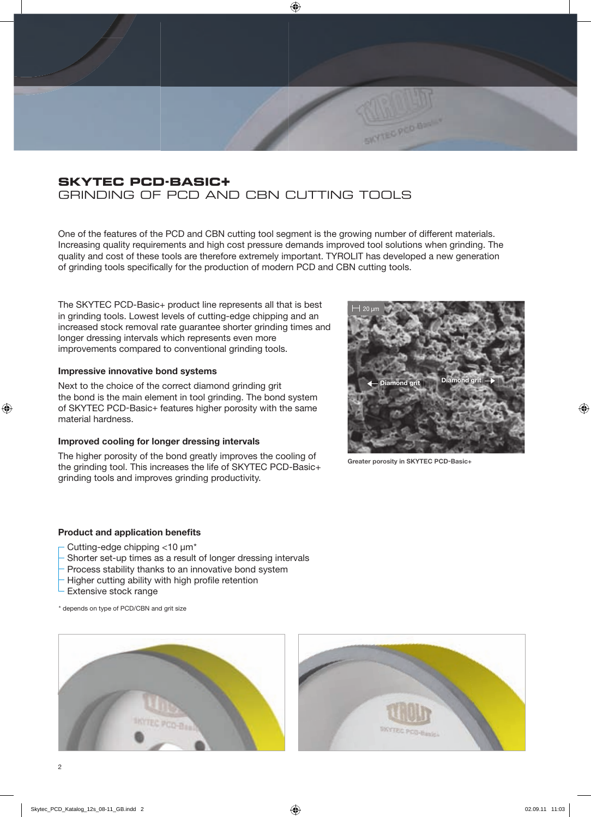# **SKYTEC PCD-BASIC+** GRINDING OF PCD AND CBN CUTTING TOOLS

One of the features of the PCD and CBN cutting tool segment is the growing number of different materials. Increasing quality requirements and high cost pressure demands improved tool solutions when grinding. The quality and cost of these tools are therefore extremely important. TYROLIT has developed a new generation of grinding tools specifically for the production of modern PCD and CBN cutting tools.

The SKYTEC PCD-Basic+ product line represents all that is best in grinding tools. Lowest levels of cutting-edge chipping and an increased stock removal rate guarantee shorter grinding times and longer dressing intervals which represents even more improvements compared to conventional grinding tools.

#### **Impressive innovative bond systems**

Next to the choice of the correct diamond grinding grit the bond is the main element in tool grinding. The bond system of SKYTEC PCD-Basic+ features higher porosity with the same material hardness.

#### **Improved cooling for longer dressing intervals**

The higher porosity of the bond greatly improves the cooling of the grinding tool. This increases the life of SKYTEC PCD-Basic+ grinding tools and improves grinding productivity.



**Greater porosity in SKYTEC PCD-Basic+**

SKYTEC PCD BY

#### **Product and application benefits**

- Cutting-edge chipping <10 µm\*
- Shorter set-up times as a result of longer dressing intervals
- Process stability thanks to an innovative bond system
- Higher cutting ability with high profile retention
- Extensive stock range
- \* depends on type of PCD/CBN and grit size



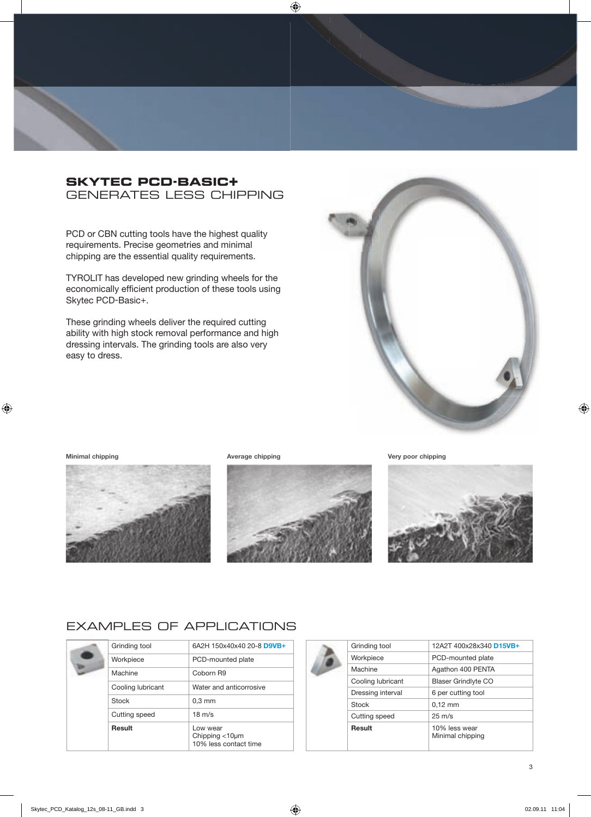## **SKYTEC PCD-BASIC+** GENERATES LESS CHIPPING

PCD or CBN cutting tools have the highest quality requirements. Precise geometries and minimal chipping are the essential quality requirements.

TYROLIT has developed new grinding wheels for the economically efficient production of these tools using Skytec PCD-Basic+.

These grinding wheels deliver the required cutting ability with high stock removal performance and high dressing intervals. The grinding tools are also very easy to dress.



#### **Minimal chipping Average chipping Very poor chipping**







# EXAMPLES OF APPLICATIONS

|  | Grinding tool     | 6A2H 150x40x40 20-8 D9VB+                                    |
|--|-------------------|--------------------------------------------------------------|
|  | Workpiece         | PCD-mounted plate                                            |
|  | Machine           | Coborn R9                                                    |
|  | Cooling lubricant | Water and anticorrosive                                      |
|  | Stock             | $0.3$ mm                                                     |
|  | Cutting speed     | $18 \text{ m/s}$                                             |
|  | Result            | Low wear<br>Chipping $<$ 10 $\mu$ m<br>10% less contact time |

| Grinding tool     | 12A2T 400x28x340 D15VB+           |
|-------------------|-----------------------------------|
| Workpiece         | PCD-mounted plate                 |
| Machine           | Agathon 400 PENTA                 |
| Cooling lubricant | <b>Blaser Grindlyte CO</b>        |
| Dressing interval | 6 per cutting tool                |
| <b>Stock</b>      | $0,12$ mm                         |
| Cutting speed     | $25 \text{ m/s}$                  |
| <b>Result</b>     | 10% less wear<br>Minimal chipping |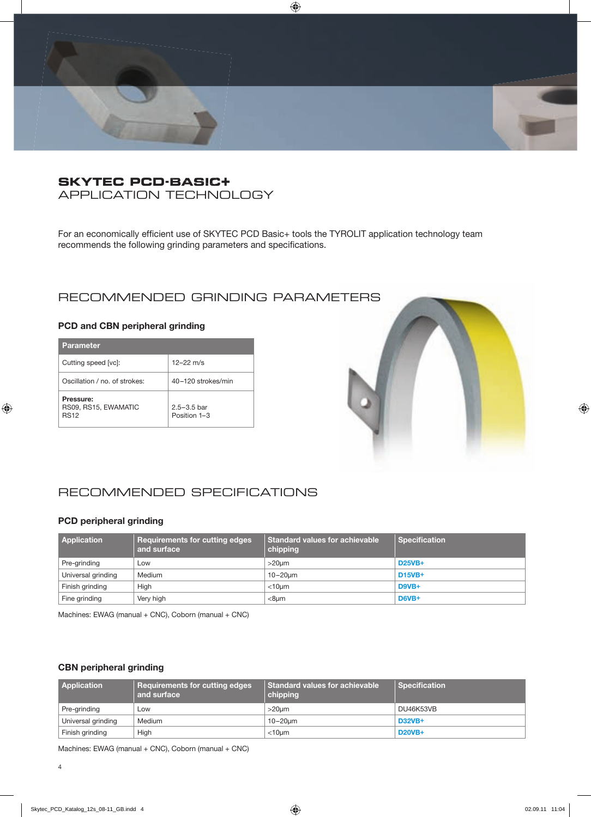

# **SKYTEC PCD-BASIC+ BASIC** APPLICATION TECHNOLOGY

For an economically efficient use of SKYTEC PCD Basic+ tools the TYROLIT application technology team recommends the following grinding parameters and specifications.

# RECOMMENDED GRINDING PARAMETERS

#### **PCD and CBN peripheral grinding**

| <b>Parameter</b>                                 |                                 |
|--------------------------------------------------|---------------------------------|
| Cutting speed [vc]:                              | $12 - 22$ m/s                   |
| Oscillation / no. of strokes:                    | 40-120 strokes/min              |
| Pressure:<br>RS09, RS15, EWAMATIC<br><b>RS12</b> | $2.5 - 3.5$ bar<br>Position 1-3 |



# RECOMMENDED SPECIFICATIONS

#### **PCD peripheral grinding**

| <b>Application</b> | <b>Requirements for cutting edges</b><br>and surface | Standard values for achievable<br>chipping | <b>Specification</b> |
|--------------------|------------------------------------------------------|--------------------------------------------|----------------------|
| Pre-grinding       | Low                                                  | $>20 \mu m$                                | <b>D25VB+</b>        |
| Universal grinding | Medium                                               | $10-20$ um                                 | <b>D15VB+</b>        |
| Finish grinding    | High                                                 | $<$ 10 $\mu$ m                             | D9VB+                |
| Fine grinding      | Very high                                            | $<$ 8 $µm$                                 | $D6VB+$              |

Machines: EWAG (manual + CNC), Coborn (manual + CNC)

#### **CBN peripheral grinding**

| <b>Application</b> | Requirements for cutting edges<br>and surface | Standard values for achievable<br>chipping | <b>Specification</b> |
|--------------------|-----------------------------------------------|--------------------------------------------|----------------------|
| Pre-grinding       | Low                                           | $>20$ um                                   | DU46K53VB            |
| Universal grinding | Medium                                        | $10-20$ um                                 | <b>D32VB+</b>        |
| Finish grinding    | High                                          | $<$ 10 $\mu$ m                             | <b>D20VB+</b>        |

Machines: EWAG (manual + CNC), Coborn (manual + CNC)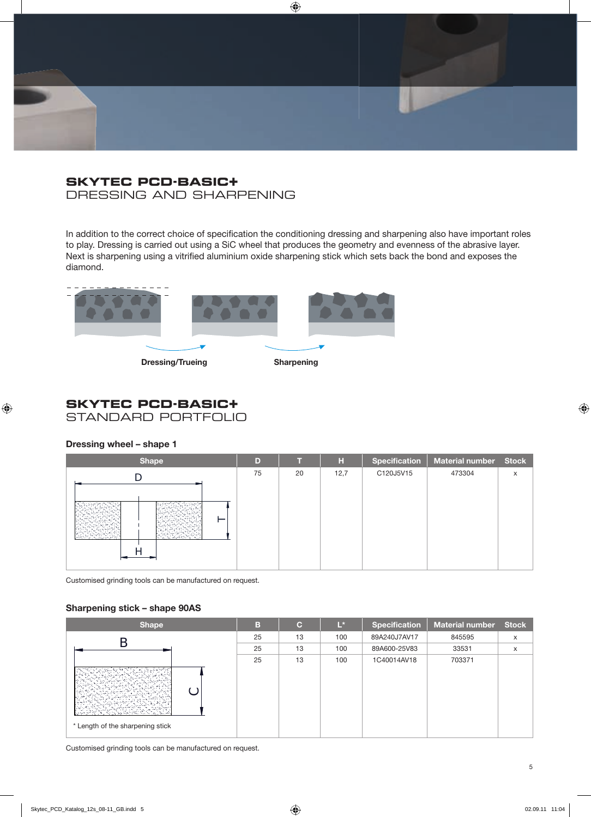## **SKYTEC PCD-BASIC+** DRESSING AND SHARPENING

In addition to the correct choice of specification the conditioning dressing and sharpening also have important roles to play. Dressing is carried out using a SiC wheel that produces the geometry and evenness of the abrasive layer. Next is sharpening using a vitrified aluminium oxide sharpening stick which sets back the bond and exposes the diamond.



## **SKYTEC PCD-BASIC+** STANDARD PORTFOLIO

#### **Dressing wheel – shape 1**

| <b>Shape</b> | D  |    | н    | <b>Specification</b> | Material number Stock |   |
|--------------|----|----|------|----------------------|-----------------------|---|
|              | 75 | 20 | 12,7 | C120J5V15            | 473304                | X |
|              |    |    |      |                      |                       |   |
| ─<br>್ಕ      |    |    |      |                      |                       |   |
|              |    |    |      |                      |                       |   |

Customised grinding tools can be manufactured on request.

#### **Sharpening stick – shape 90AS**

| <b>Shape</b>                     | в  | $\mathbf C$ | $L^*$ | <b>Specification</b> | <b>Material number</b> | <b>Stock</b> |
|----------------------------------|----|-------------|-------|----------------------|------------------------|--------------|
|                                  | 25 | 13          | 100   | 89A240J7AV17         | 845595                 | X            |
|                                  | 25 | 13          | 100   | 89A600-25V83         | 33531                  | x            |
|                                  | 25 | 13          | 100   | 1C40014AV18          | 703371                 |              |
| * Length of the sharpening stick |    |             |       |                      |                        |              |

Customised grinding tools can be manufactured on request.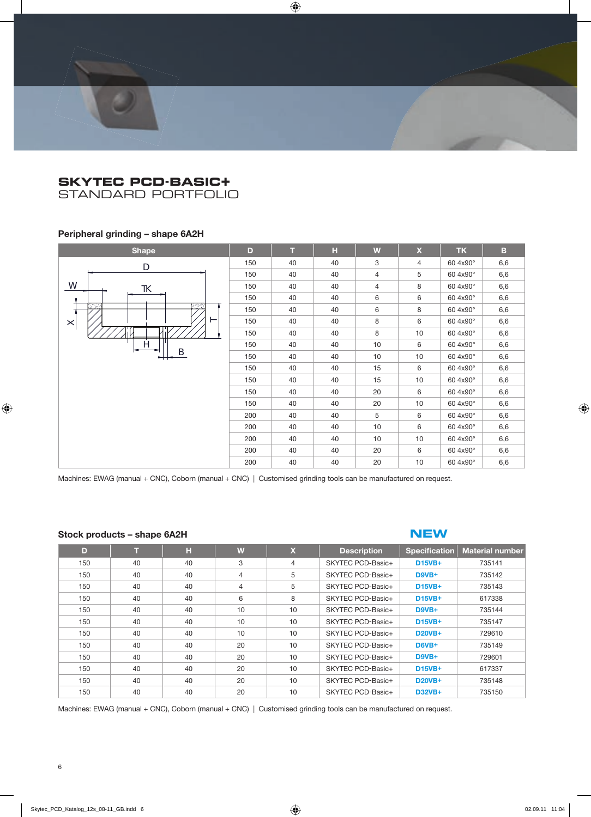STANDARD PORTFOLIO

#### **Peripheral grinding – shape 6A2H**

| <b>Shape</b>               | D   | т  | H  | W              | $\pmb{\mathsf{X}}$ | <b>TK</b> | B   |
|----------------------------|-----|----|----|----------------|--------------------|-----------|-----|
| $\mathsf{D}$               | 150 | 40 | 40 | 3              | $\overline{4}$     | 60 4x90°  | 6,6 |
|                            | 150 | 40 | 40 | $\overline{4}$ | 5                  | 60 4x90°  | 6,6 |
| W<br>TΚ                    | 150 | 40 | 40 | $\overline{4}$ | 8                  | 60 4x90°  | 6,6 |
|                            | 150 | 40 | 40 | 6              | 6                  | 60 4x90°  | 6,6 |
| <b>1999</b><br><b>Barc</b> | 150 | 40 | 40 | 6              | 8                  | 60 4x90°  | 6,6 |
| ⊢<br>$\times$              | 150 | 40 | 40 | 8              | 6                  | 60 4x90°  | 6,6 |
|                            | 150 | 40 | 40 | 8              | 10                 | 60 4x90°  | 6,6 |
| H<br>B                     | 150 | 40 | 40 | 10             | 6                  | 60 4x90°  | 6,6 |
|                            | 150 | 40 | 40 | 10             | 10                 | 60 4x90°  | 6,6 |
|                            | 150 | 40 | 40 | 15             | 6                  | 60 4x90°  | 6,6 |
|                            | 150 | 40 | 40 | 15             | 10                 | 60 4x90°  | 6,6 |
|                            | 150 | 40 | 40 | 20             | 6                  | 60 4x90°  | 6,6 |
|                            | 150 | 40 | 40 | 20             | 10                 | 60 4x90°  | 6,6 |
|                            | 200 | 40 | 40 | 5              | 6                  | 60 4x90°  | 6,6 |
|                            | 200 | 40 | 40 | 10             | 6                  | 60 4x90°  | 6,6 |
|                            | 200 | 40 | 40 | 10             | 10                 | 60 4x90°  | 6,6 |
|                            | 200 | 40 | 40 | 20             | 6                  | 60 4x90°  | 6,6 |
|                            | 200 | 40 | 40 | 20             | 10                 | 60 4x90°  | 6,6 |

Machines: EWAG (manual + CNC), Coborn (manual + CNC) | Customised grinding tools can be manufactured on request.

#### **Stock products – shape 6A2H**

#### **NEW**

| D   | т  | н  | W              | $\mathbf x$    | <b>Description</b> | <b>Specification</b> | <b>Material number</b> |
|-----|----|----|----------------|----------------|--------------------|----------------------|------------------------|
| 150 | 40 | 40 | 3              | $\overline{4}$ | SKYTEC PCD-Basic+  | <b>D15VB+</b>        | 735141                 |
| 150 | 40 | 40 | $\overline{4}$ | 5              | SKYTEC PCD-Basic+  | $D9VB+$              | 735142                 |
| 150 | 40 | 40 | $\overline{4}$ | 5              | SKYTEC PCD-Basic+  | <b>D15VB+</b>        | 735143                 |
| 150 | 40 | 40 | 6              | 8              | SKYTEC PCD-Basic+  | <b>D15VB+</b>        | 617338                 |
| 150 | 40 | 40 | 10             | 10             | SKYTEC PCD-Basic+  | $D9VB+$              | 735144                 |
| 150 | 40 | 40 | 10             | 10             | SKYTEC PCD-Basic+  | <b>D15VB+</b>        | 735147                 |
| 150 | 40 | 40 | 10             | 10             | SKYTEC PCD-Basic+  | <b>D20VB+</b>        | 729610                 |
| 150 | 40 | 40 | 20             | 10             | SKYTEC PCD-Basic+  | $D6VB+$              | 735149                 |
| 150 | 40 | 40 | 20             | 10             | SKYTEC PCD-Basic+  | D9VB+                | 729601                 |
| 150 | 40 | 40 | 20             | 10             | SKYTEC PCD-Basic+  | <b>D15VB+</b>        | 617337                 |
| 150 | 40 | 40 | 20             | 10             | SKYTEC PCD-Basic+  | <b>D20VB+</b>        | 735148                 |
| 150 | 40 | 40 | 20             | 10             | SKYTEC PCD-Basic+  | <b>D32VB+</b>        | 735150                 |

Machines: EWAG (manual + CNC), Coborn (manual + CNC) | Customised grinding tools can be manufactured on request.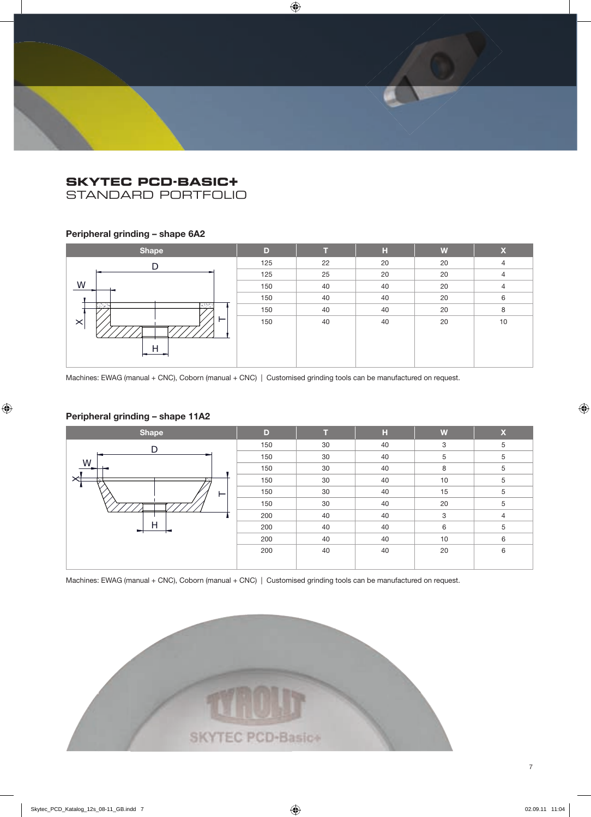STANDARD PORTFOLIO

## **Peripheral grinding – shape 6A2**

| <b>Shape</b>       | D   |    | н  | W  | $\overline{\mathbf{X}}$ |
|--------------------|-----|----|----|----|-------------------------|
|                    | 125 | 22 | 20 | 20 | $\overline{4}$          |
|                    | 125 | 25 | 20 | 20 | 4                       |
| W                  | 150 | 40 | 40 | 20 | $\overline{4}$          |
|                    | 150 | 40 | 40 | 20 | 6                       |
| وبودي<br>ದಿನಿಸಿ    | 150 | 40 | 40 | 20 | 8                       |
| ⊢<br>$\times$<br>⊢ | 150 | 40 | 40 | 20 | 10                      |

Machines: EWAG (manual + CNC), Coborn (manual + CNC) | Customised grinding tools can be manufactured on request.

## **Peripheral grinding – shape 11A2**



Machines: EWAG (manual + CNC), Coborn (manual + CNC) | Customised grinding tools can be manufactured on request.

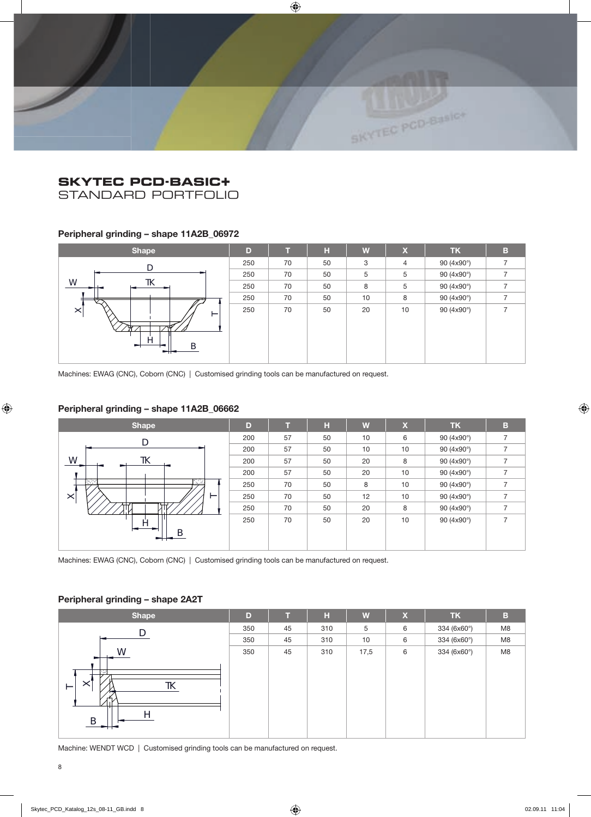STANDARD PORTFOLIO

## **Peripheral grinding – shape 11A2B\_06972**

| <b>Shape</b>            | D   |    | н  | W  | $\boldsymbol{\mathsf{x}}$ | <b>TK</b>  | B |
|-------------------------|-----|----|----|----|---------------------------|------------|---|
| D                       | 250 | 70 | 50 | 3  | $\overline{4}$            | 90 (4x90°) |   |
|                         | 250 | 70 | 50 | 5  | 5                         | 90 (4x90°) |   |
| W<br>TK                 | 250 | 70 | 50 | 8  | 5                         | 90 (4x90°) |   |
| ₩                       | 250 | 70 | 50 | 10 | 8                         | 90 (4x90°) |   |
| $\times$<br>⊢<br>∽<br>∽ | 250 | 70 | 50 | 20 | 10                        | 90 (4x90°) |   |

Machines: EWAG (CNC), Coborn (CNC) | Customised grinding tools can be manufactured on request.

### **Peripheral grinding – shape 11A2B\_06662**



Machines: EWAG (CNC), Coborn (CNC) | Customised grinding tools can be manufactured on request.

#### **Peripheral grinding – shape 2A2T**

| <b>Shape</b>                                          | D   |    | н   | W    | $\boldsymbol{\mathsf{X}}$ | <b>TK</b>   | B  |
|-------------------------------------------------------|-----|----|-----|------|---------------------------|-------------|----|
|                                                       | 350 | 45 | 310 | 5    | 6                         | 334 (6x60°) | M8 |
|                                                       | 350 | 45 | 310 | 10   | 6                         | 334 (6x60°) | M8 |
| W                                                     | 350 | 45 | 310 | 17,5 | 6                         | 334 (6x60°) | M8 |
| ान<br>$\times$<br>TΚ<br>$\overline{\phantom{0}}$<br>B |     |    |     |      |                           |             |    |

Machine: WENDT WCD | Customised grinding tools can be manufactured on request.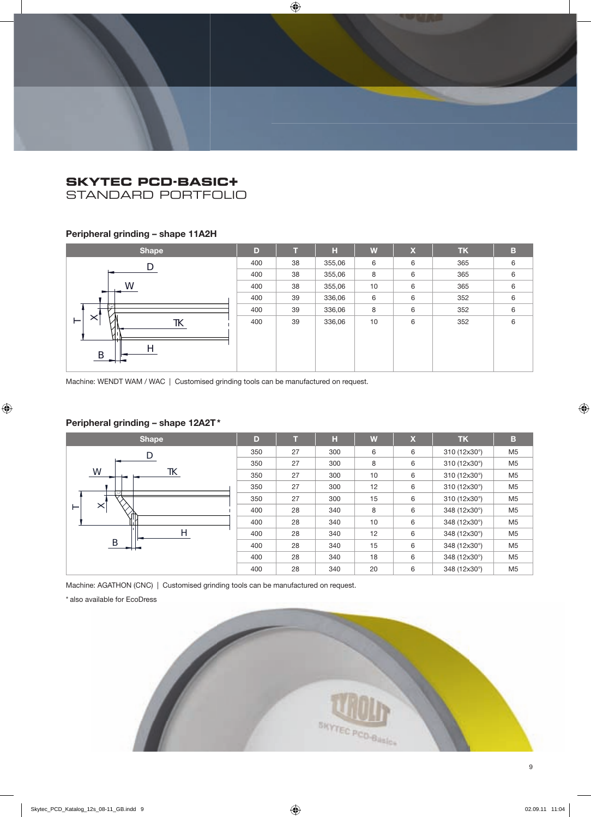STANDARD PORTFOLIO

## **Peripheral grinding – shape 11A2H**

| <b>Shape</b>                  | D   |    | H      | W  | $\boldsymbol{\mathsf{x}}$ | <b>TK</b> | в |
|-------------------------------|-----|----|--------|----|---------------------------|-----------|---|
|                               | 400 | 38 | 355,06 | 6  | 6                         | 365       | 6 |
|                               | 400 | 38 | 355,06 | 8  | 6                         | 365       | 6 |
| Ŵ                             | 400 | 38 | 355,06 | 10 | 6                         | 365       | 6 |
|                               | 400 | 39 | 336,06 | 6  | 6                         | 352       | 6 |
| Z                             | 400 | 39 | 336,06 | 8  | 6                         | 352       | 6 |
| $\times$<br>TΚ<br>⊢<br>.<br>B | 400 | 39 | 336,06 | 10 | 6                         | 352       | 6 |

Machine: WENDT WAM / WAC | Customised grinding tools can be manufactured on request.

## **Peripheral grinding – shape 12A2T \***



Machine: AGATHON (CNC) | Customised grinding tools can be manufactured on request.

\* also available for EcoDress

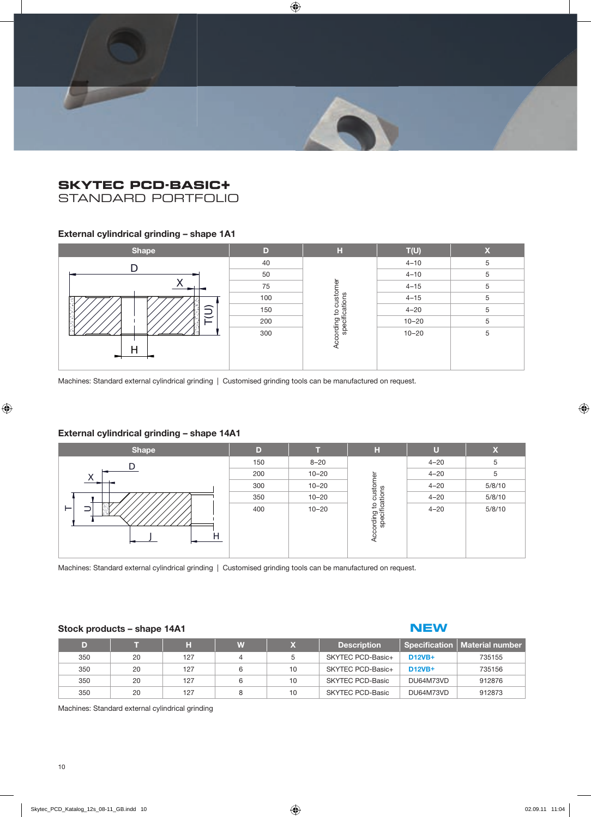

STANDARD PORTFOLIO

### **External cylindrical grinding – shape 1A1**

| <b>Shape</b> | D   | н                                                     | T(U)      | $\overline{\mathbf{v}}$<br>ж |
|--------------|-----|-------------------------------------------------------|-----------|------------------------------|
|              | 40  |                                                       | $4 - 10$  | 5                            |
|              | 50  | customer<br>ations<br>٥,<br>According to<br>specifica | $4 - 10$  | 5                            |
|              | 75  |                                                       | $4 - 15$  | 5                            |
|              | 100 |                                                       | $4 - 15$  | 5                            |
| $\supseteq$  | 150 |                                                       | $4 - 20$  | 5                            |
| <b>Sec</b>   | 200 |                                                       | $10 - 20$ | 5                            |
|              | 300 |                                                       | $10 - 20$ | 5                            |
|              |     |                                                       |           |                              |
| −            |     |                                                       |           |                              |
|              |     |                                                       |           |                              |

#### **External cylindrical grinding – shape 14A1**

| Э                                                                                                            | 150 |                |                                         | $4 - 20$  | 5           |  |  |  |
|--------------------------------------------------------------------------------------------------------------|-----|----------------|-----------------------------------------|-----------|-------------|--|--|--|
|                                                                                                              | 200 |                |                                         | $10 - 20$ | 5           |  |  |  |
| Н                                                                                                            | 300 | According to a |                                         | $10 - 20$ | 5           |  |  |  |
| Machines: Standard external cylindrical grinding   Customised grinding tools can be manufactured on request. |     |                |                                         |           |             |  |  |  |
| External cylindrical grinding - shape 14A1                                                                   |     |                |                                         |           |             |  |  |  |
| <b>Shape</b>                                                                                                 | D   | т              | H                                       | $\cup$    | $\mathbf x$ |  |  |  |
|                                                                                                              | 150 | $8 - 20$       |                                         | $4 - 20$  | 5           |  |  |  |
| D.                                                                                                           | 200 | $10 - 20$      |                                         | $4 - 20$  | 5           |  |  |  |
|                                                                                                              | 300 | $10 - 20$      |                                         | $4 - 20$  | 5/8/10      |  |  |  |
|                                                                                                              | 350 | $10 - 20$      | According to customer<br>specifications | $4 - 20$  | 5/8/10      |  |  |  |

Machines: Standard external cylindrical grinding | Customised grinding tools can be manufactured on request.

#### **Stock products – shape 14A1**

## **NEW**

| D)  |    |     | W |    | <b>Description</b> |               | Specification   Material number |
|-----|----|-----|---|----|--------------------|---------------|---------------------------------|
| 350 | 20 | 127 |   |    | SKYTEC PCD-Basic+  | <b>D12VB+</b> | 735155                          |
| 350 | 20 | 127 |   | 10 | SKYTEC PCD-Basic+  | <b>D12VB+</b> | 735156                          |
| 350 | 20 | 127 |   | 10 | SKYTEC PCD-Basic   | DU64M73VD     | 912876                          |
| 350 | 20 | 127 |   | 10 | SKYTEC PCD-Basic   | DU64M73VD     | 912873                          |

Machines: Standard external cylindrical grinding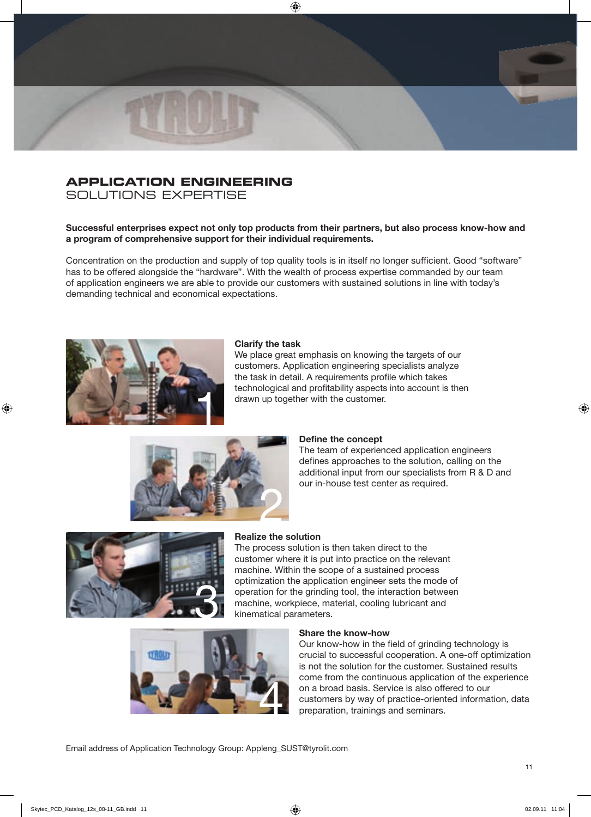# **APPLICATION ENGINEERING**

SOLUTIONS EXPERTISE

#### **Successful enterprises expect not only top products from their partners, but also process know-how and a program of comprehensive support for their individual requirements.**

Concentration on the production and supply of top quality tools is in itself no longer sufficient. Good "software" has to be offered alongside the "hardware". With the wealth of process expertise commanded by our team of application engineers we are able to provide our customers with sustained solutions in line with today's demanding technical and economical expectations.



#### **Clarify the task**

We place great emphasis on knowing the targets of our customers. Application engineering specialists analyze the task in detail. A requirements profile which takes technological and profitability aspects into account is then drawn up together with the customer.



#### **Define the concept**

The team of experienced application engineers defines approaches to the solution, calling on the additional input from our specialists from R & D and our in-house test center as required.



#### **Realize the solution**

The process solution is then taken direct to the customer where it is put into practice on the relevant machine. Within the scope of a sustained process optimization the application engineer sets the mode of operation for the grinding tool, the interaction between opumization the application engineer sets the mode<br>operation for the grinding tool, the interaction betwe<br>machine, workpiece, material, cooling lubricant and<br>kinematical parameters.



#### **Share the know-how**

Our know-how in the field of grinding technology is crucial to successful cooperation. A one-off optimization is not the solution for the customer. Sustained results come from the continuous application of the experience on a broad basis. Service is also offered to our customers by way of practice-oriented information, data preparation, trainings and seminars.